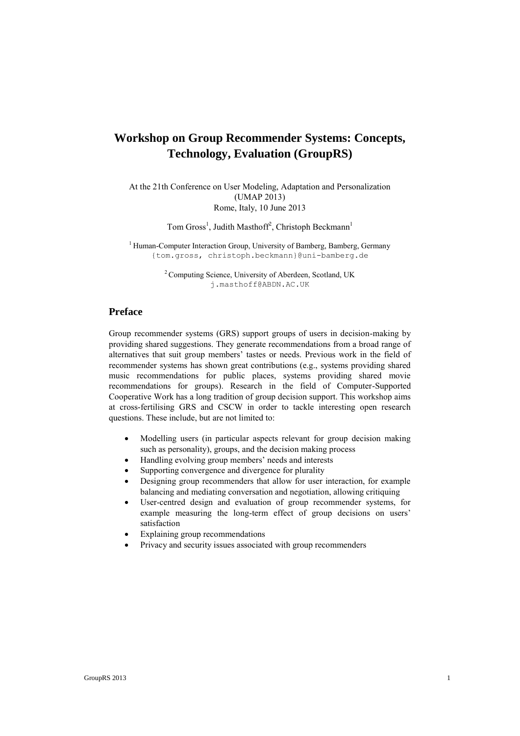# **Workshop on Group Recommender Systems: Concepts, Technology, Evaluation (GroupRS)**

At the 21th Conference on User Modeling, Adaptation and Personalization (UMAP 2013) Rome, Italy, 10 June 2013

Tom Gross<sup>1</sup>, Judith Masthoff<sup>2</sup>, Christoph Beckmann<sup>1</sup>

 $1$  Human-Computer Interaction Group, University of Bamberg, Bamberg, Germany {tom.gross, christoph.beckmann}@uni-bamberg.de

> <sup>2</sup> Computing Science, University of Aberdeen, Scotland, UK j.masthoff@ABDN.AC.UK

## **Preface**

Group recommender systems (GRS) support groups of users in decision-making by providing shared suggestions. They generate recommendations from a broad range of alternatives that suit group members' tastes or needs. Previous work in the field of recommender systems has shown great contributions (e.g., systems providing shared music recommendations for public places, systems providing shared movie recommendations for groups). Research in the field of Computer-Supported Cooperative Work has a long tradition of group decision support. This workshop aims at cross-fertilising GRS and CSCW in order to tackle interesting open research questions. These include, but are not limited to:

- Modelling users (in particular aspects relevant for group decision making such as personality), groups, and the decision making process
- Handling evolving group members' needs and interests
- Supporting convergence and divergence for plurality
- Designing group recommenders that allow for user interaction, for example balancing and mediating conversation and negotiation, allowing critiquing
- User-centred design and evaluation of group recommender systems, for example measuring the long-term effect of group decisions on users' satisfaction
- Explaining group recommendations
- Privacy and security issues associated with group recommenders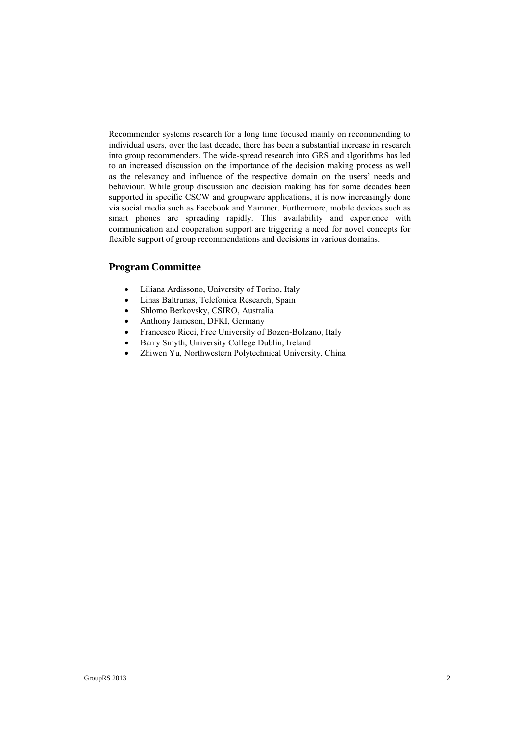Recommender systems research for a long time focused mainly on recommending to individual users, over the last decade, there has been a substantial increase in research into group recommenders. The wide-spread research into GRS and algorithms has led to an increased discussion on the importance of the decision making process as well as the relevancy and influence of the respective domain on the users' needs and behaviour. While group discussion and decision making has for some decades been supported in specific CSCW and groupware applications, it is now increasingly done via social media such as Facebook and Yammer. Furthermore, mobile devices such as smart phones are spreading rapidly. This availability and experience with communication and cooperation support are triggering a need for novel concepts for flexible support of group recommendations and decisions in various domains.

# **Program Committee**

- Liliana Ardissono, University of Torino, Italy
- Linas Baltrunas, Telefonica Research, Spain
- Shlomo Berkovsky, CSIRO, Australia
- Anthony Jameson, DFKI, Germany
- Francesco Ricci, Free University of Bozen-Bolzano, Italy
- Barry Smyth, University College Dublin, Ireland
- Zhiwen Yu, Northwestern Polytechnical University, China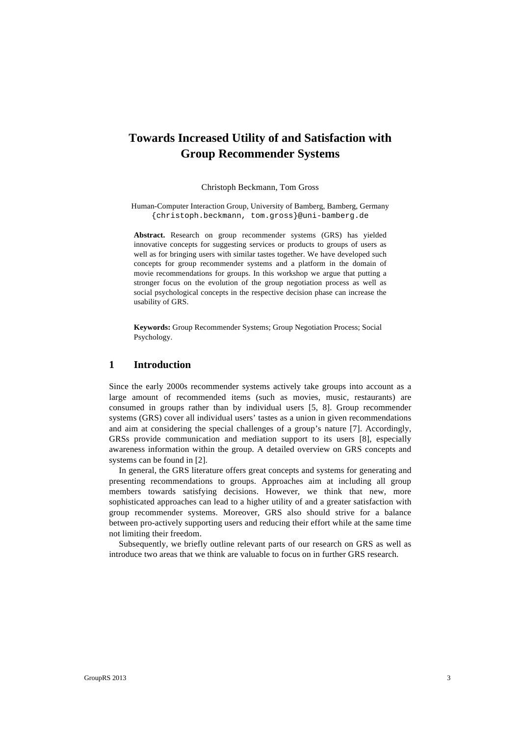# **Towards Increased Utility of and Satisfaction with Group Recommender Systems**

Christoph Beckmann, Tom Gross

Human-Computer Interaction Group, University of Bamberg, Bamberg, Germany {christoph.beckmann, tom.gross}@uni-bamberg.de

**Abstract.** Research on group recommender systems (GRS) has yielded innovative concepts for suggesting services or products to groups of users as well as for bringing users with similar tastes together. We have developed such concepts for group recommender systems and a platform in the domain of movie recommendations for groups. In this workshop we argue that putting a stronger focus on the evolution of the group negotiation process as well as social psychological concepts in the respective decision phase can increase the usability of GRS.

**Keywords:** Group Recommender Systems; Group Negotiation Process; Social Psychology.

## **1 Introduction**

Since the early 2000s recommender systems actively take groups into account as a large amount of recommended items (such as movies, music, restaurants) are consumed in groups rather than by individual users [5, 8]. Group recommender systems (GRS) cover all individual users' tastes as a union in given recommendations and aim at considering the special challenges of a group's nature [7]. Accordingly, GRSs provide communication and mediation support to its users [8], especially awareness information within the group. A detailed overview on GRS concepts and systems can be found in [2].

In general, the GRS literature offers great concepts and systems for generating and presenting recommendations to groups. Approaches aim at including all group members towards satisfying decisions. However, we think that new, more sophisticated approaches can lead to a higher utility of and a greater satisfaction with group recommender systems. Moreover, GRS also should strive for a balance between pro-actively supporting users and reducing their effort while at the same time not limiting their freedom.

Subsequently, we briefly outline relevant parts of our research on GRS as well as introduce two areas that we think are valuable to focus on in further GRS research.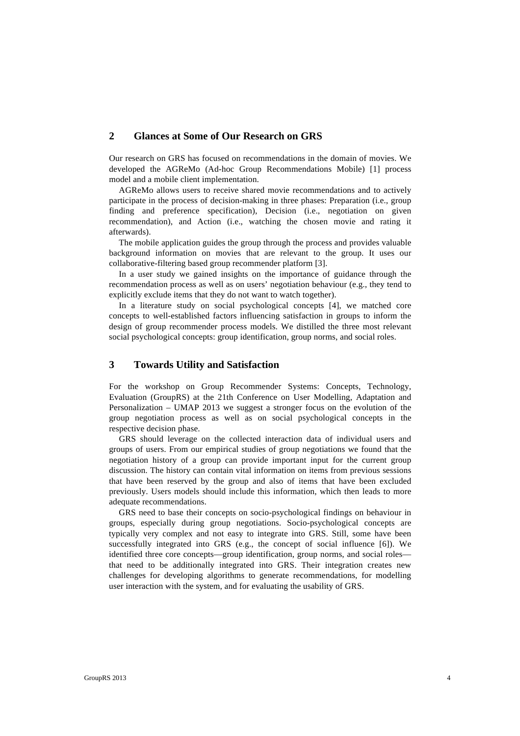# **2 Glances at Some of Our Research on GRS**

Our research on GRS has focused on recommendations in the domain of movies. We developed the AGReMo (Ad-hoc Group Recommendations Mobile) [1] process model and a mobile client implementation.

AGReMo allows users to receive shared movie recommendations and to actively participate in the process of decision-making in three phases: Preparation (i.e., group finding and preference specification), Decision (i.e., negotiation on given recommendation), and Action (i.e., watching the chosen movie and rating it afterwards).

The mobile application guides the group through the process and provides valuable background information on movies that are relevant to the group. It uses our collaborative-filtering based group recommender platform [3].

In a user study we gained insights on the importance of guidance through the recommendation process as well as on users' negotiation behaviour (e.g., they tend to explicitly exclude items that they do not want to watch together).

In a literature study on social psychological concepts [4], we matched core concepts to well-established factors influencing satisfaction in groups to inform the design of group recommender process models. We distilled the three most relevant social psychological concepts: group identification, group norms, and social roles.

## **3 Towards Utility and Satisfaction**

For the workshop on Group Recommender Systems: Concepts, Technology, Evaluation (GroupRS) at the 21th Conference on User Modelling, Adaptation and Personalization – UMAP 2013 we suggest a stronger focus on the evolution of the group negotiation process as well as on social psychological concepts in the respective decision phase.

GRS should leverage on the collected interaction data of individual users and groups of users. From our empirical studies of group negotiations we found that the negotiation history of a group can provide important input for the current group discussion. The history can contain vital information on items from previous sessions that have been reserved by the group and also of items that have been excluded previously. Users models should include this information, which then leads to more adequate recommendations.

GRS need to base their concepts on socio-psychological findings on behaviour in groups, especially during group negotiations. Socio-psychological concepts are typically very complex and not easy to integrate into GRS. Still, some have been successfully integrated into GRS (e.g., the concept of social influence [6]). We identified three core concepts—group identification, group norms, and social roles that need to be additionally integrated into GRS. Their integration creates new challenges for developing algorithms to generate recommendations, for modelling user interaction with the system, and for evaluating the usability of GRS.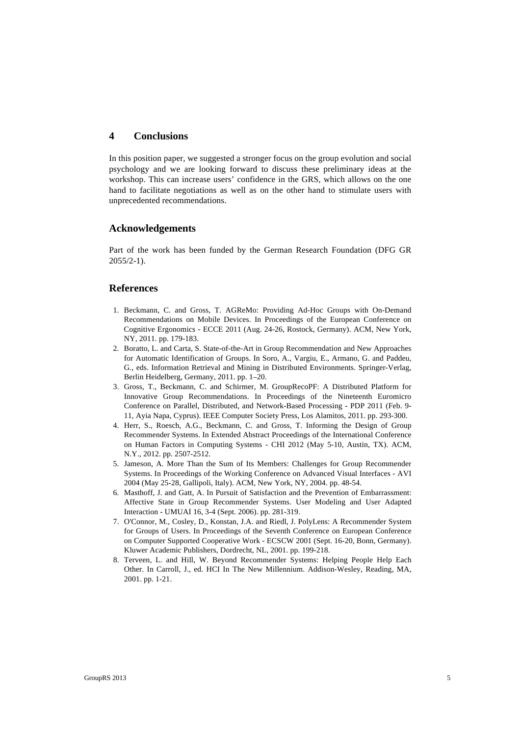# **4 Conclusions**

In this position paper, we suggested a stronger focus on the group evolution and social psychology and we are looking forward to discuss these preliminary ideas at the workshop. This can increase users' confidence in the GRS, which allows on the one hand to facilitate negotiations as well as on the other hand to stimulate users with unprecedented recommendations.

#### **Acknowledgements**

Part of the work has been funded by the German Research Foundation (DFG GR  $2055/2-1$ .

#### **References**

- 1. Beckmann, C. and Gross, T. AGReMo: Providing Ad-Hoc Groups with On-Demand Recommendations on Mobile Devices. In Proceedings of the European Conference on Cognitive Ergonomics - ECCE 2011 (Aug. 24-26, Rostock, Germany). ACM, New York, NY, 2011. pp. 179-183.
- 2. Boratto, L. and Carta, S. State-of-the-Art in Group Recommendation and New Approaches for Automatic Identification of Groups. In Soro, A., Vargiu, E., Armano, G. and Paddeu, G., eds. Information Retrieval and Mining in Distributed Environments. Springer-Verlag, Berlin Heidelberg, Germany, 2011. pp. 1–20.
- 3. Gross, T., Beckmann, C. and Schirmer, M. GroupRecoPF: A Distributed Platform for Innovative Group Recommendations. In Proceedings of the Nineteenth Euromicro Conference on Parallel, Distributed, and Network-Based Processing - PDP 2011 (Feb. 9- 11, Ayia Napa, Cyprus). IEEE Computer Society Press, Los Alamitos, 2011. pp. 293-300.
- 4. Herr, S., Roesch, A.G., Beckmann, C. and Gross, T. Informing the Design of Group Recommender Systems. In Extended Abstract Proceedings of the International Conference on Human Factors in Computing Systems - CHI 2012 (May 5-10, Austin, TX). ACM, N.Y., 2012. pp. 2507-2512.
- 5. Jameson, A. More Than the Sum of Its Members: Challenges for Group Recommender Systems. In Proceedings of the Working Conference on Advanced Visual Interfaces - AVI 2004 (May 25-28, Gallipoli, Italy). ACM, New York, NY, 2004. pp. 48-54.
- 6. Masthoff, J. and Gatt, A. In Pursuit of Satisfaction and the Prevention of Embarrassment: Affective State in Group Recommender Systems. User Modeling and User Adapted Interaction - UMUAI 16, 3-4 (Sept. 2006). pp. 281-319.
- 7. O'Connor, M., Cosley, D., Konstan, J.A. and Riedl, J. PolyLens: A Recommender System for Groups of Users. In Proceedings of the Seventh Conference on European Conference on Computer Supported Cooperative Work - ECSCW 2001 (Sept. 16-20, Bonn, Germany). Kluwer Academic Publishers, Dordrecht, NL, 2001. pp. 199-218.
- 8. Terveen, L. and Hill, W. Beyond Recommender Systems: Helping People Help Each Other. In Carroll, J., ed. HCI In The New Millennium. Addison-Wesley, Reading, MA, 2001. pp. 1-21.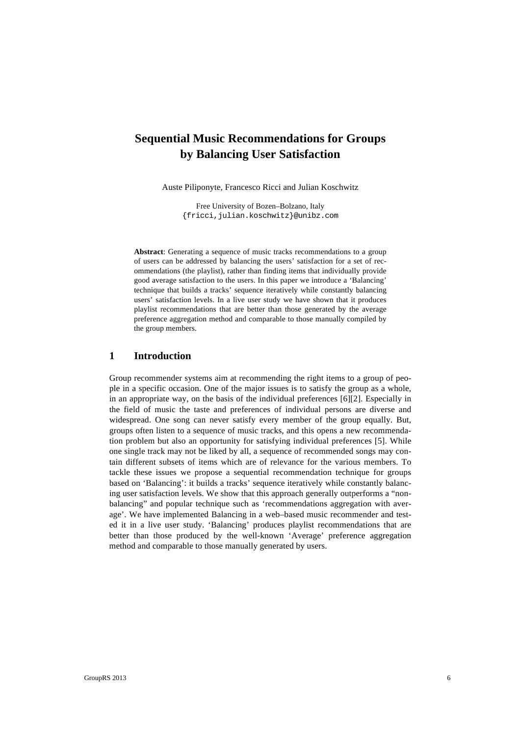# **Sequential Music Recommendations for Groups by Balancing User Satisfaction**

Auste Piliponyte, Francesco Ricci and Julian Koschwitz

Free University of Bozen–Bolzano, Italy {fricci,julian.koschwitz}@unibz.com

**Abstract**: Generating a sequence of music tracks recommendations to a group of users can be addressed by balancing the users' satisfaction for a set of recommendations (the playlist), rather than finding items that individually provide good average satisfaction to the users. In this paper we introduce a 'Balancing' technique that builds a tracks' sequence iteratively while constantly balancing users' satisfaction levels. In a live user study we have shown that it produces playlist recommendations that are better than those generated by the average preference aggregation method and comparable to those manually compiled by the group members.

#### **1 Introduction**

Group recommender systems aim at recommending the right items to a group of people in a specific occasion. One of the major issues is to satisfy the group as a whole, in an appropriate way, on the basis of the individual preferences [6][2]. Especially in the field of music the taste and preferences of individual persons are diverse and widespread. One song can never satisfy every member of the group equally. But, groups often listen to a sequence of music tracks, and this opens a new recommendation problem but also an opportunity for satisfying individual preferences [5]. While one single track may not be liked by all, a sequence of recommended songs may contain different subsets of items which are of relevance for the various members. To tackle these issues we propose a sequential recommendation technique for groups based on 'Balancing': it builds a tracks' sequence iteratively while constantly balancing user satisfaction levels. We show that this approach generally outperforms a "nonbalancing" and popular technique such as 'recommendations aggregation with average'. We have implemented Balancing in a web–based music recommender and tested it in a live user study. 'Balancing' produces playlist recommendations that are better than those produced by the well-known 'Average' preference aggregation method and comparable to those manually generated by users.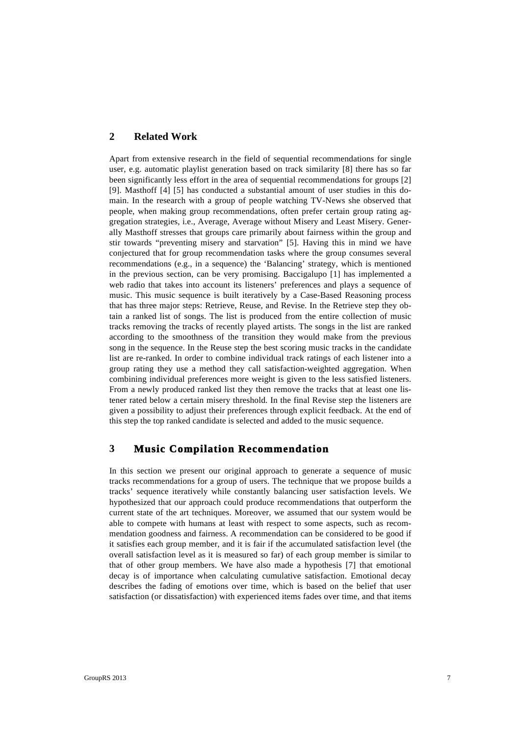# **2 Related Work**

Apart from extensive research in the field of sequential recommendations for single user, e.g. automatic playlist generation based on track similarity [8] there has so far been significantly less effort in the area of sequential recommendations for groups [2] [9]. Masthoff [4] [5] has conducted a substantial amount of user studies in this domain. In the research with a group of people watching TV-News she observed that people, when making group recommendations, often prefer certain group rating aggregation strategies, i.e., Average, Average without Misery and Least Misery. Generally Masthoff stresses that groups care primarily about fairness within the group and stir towards "preventing misery and starvation" [5]. Having this in mind we have conjectured that for group recommendation tasks where the group consumes several recommendations (e.g., in a sequence) the 'Balancing' strategy, which is mentioned in the previous section, can be very promising. Baccigalupo [1] has implemented a web radio that takes into account its listeners' preferences and plays a sequence of music. This music sequence is built iteratively by a Case-Based Reasoning process that has three major steps: Retrieve, Reuse, and Revise. In the Retrieve step they obtain a ranked list of songs. The list is produced from the entire collection of music tracks removing the tracks of recently played artists. The songs in the list are ranked according to the smoothness of the transition they would make from the previous song in the sequence. In the Reuse step the best scoring music tracks in the candidate list are re-ranked. In order to combine individual track ratings of each listener into a group rating they use a method they call satisfaction-weighted aggregation. When combining individual preferences more weight is given to the less satisfied listeners. From a newly produced ranked list they then remove the tracks that at least one listener rated below a certain misery threshold. In the final Revise step the listeners are given a possibility to adjust their preferences through explicit feedback. At the end of this step the top ranked candidate is selected and added to the music sequence.

# **3 Music Compilation Recommendation**

In this section we present our original approach to generate a sequence of music tracks recommendations for a group of users. The technique that we propose builds a tracks' sequence iteratively while constantly balancing user satisfaction levels. We hypothesized that our approach could produce recommendations that outperform the current state of the art techniques. Moreover, we assumed that our system would be able to compete with humans at least with respect to some aspects, such as recommendation goodness and fairness. A recommendation can be considered to be good if it satisfies each group member, and it is fair if the accumulated satisfaction level (the overall satisfaction level as it is measured so far) of each group member is similar to that of other group members. We have also made a hypothesis [7] that emotional decay is of importance when calculating cumulative satisfaction. Emotional decay describes the fading of emotions over time, which is based on the belief that user satisfaction (or dissatisfaction) with experienced items fades over time, and that items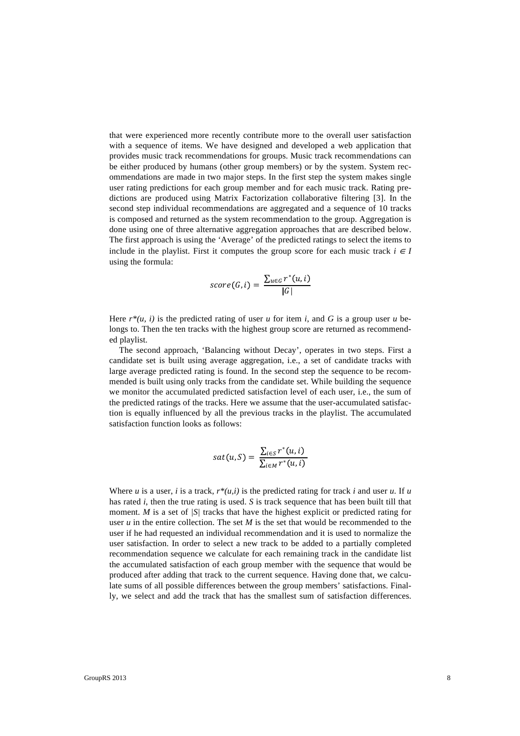that were experienced more recently contribute more to the overall user satisfaction with a sequence of items. We have designed and developed a web application that provides music track recommendations for groups. Music track recommendations can be either produced by humans (other group members) or by the system. System recommendations are made in two major steps. In the first step the system makes single user rating predictions for each group member and for each music track. Rating predictions are produced using Matrix Factorization collaborative filtering [3]. In the second step individual recommendations are aggregated and a sequence of 10 tracks is composed and returned as the system recommendation to the group. Aggregation is done using one of three alternative aggregation approaches that are described below. The first approach is using the 'Average' of the predicted ratings to select the items to include in the playlist. First it computes the group score for each music track  $i \in I$ using the formula:

$$
score(G, i) = \frac{\sum_{u \in G} r^*(u, i)}{|G|}
$$

Here  $r^*(u, i)$  is the predicted rating of user *u* for item *i*, and *G* is a group user *u* belongs to. Then the ten tracks with the highest group score are returned as recommended playlist.

The second approach, 'Balancing without Decay', operates in two steps. First a candidate set is built using average aggregation, i.e., a set of candidate tracks with large average predicted rating is found. In the second step the sequence to be recommended is built using only tracks from the candidate set. While building the sequence we monitor the accumulated predicted satisfaction level of each user, i.e., the sum of the predicted ratings of the tracks. Here we assume that the user-accumulated satisfaction is equally influenced by all the previous tracks in the playlist. The accumulated satisfaction function looks as follows:

$$
sat(u, S) = \frac{\sum_{i \in S} r^*(u, i)}{\sum_{i \in M} r^*(u, i)}
$$

Where  $u$  is a user,  $i$  is a track,  $r^*(u,i)$  is the predicted rating for track  $i$  and user  $u$ . If  $u$ has rated *i*, then the true rating is used. *S* is track sequence that has been built till that moment. *M* is a set of *|S|* tracks that have the highest explicit or predicted rating for user *u* in the entire collection. The set *M* is the set that would be recommended to the user if he had requested an individual recommendation and it is used to normalize the user satisfaction. In order to select a new track to be added to a partially completed recommendation sequence we calculate for each remaining track in the candidate list the accumulated satisfaction of each group member with the sequence that would be produced after adding that track to the current sequence. Having done that, we calculate sums of all possible differences between the group members' satisfactions. Finally, we select and add the track that has the smallest sum of satisfaction differences.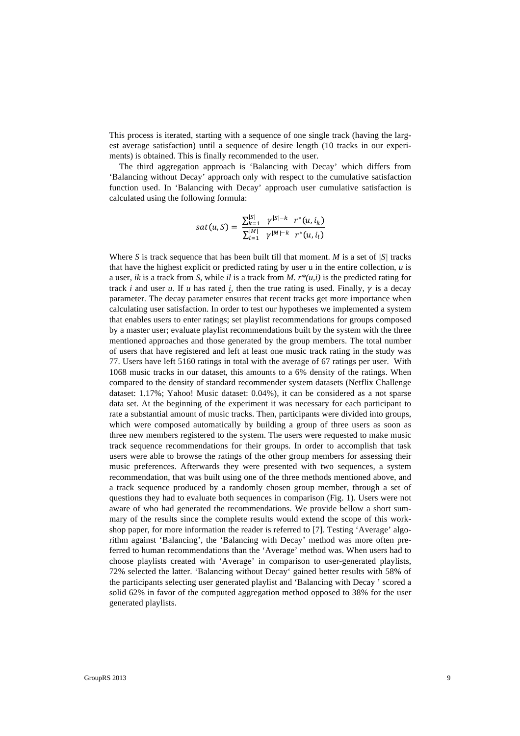This process is iterated, starting with a sequence of one single track (having the largest average satisfaction) until a sequence of desire length (10 tracks in our experiments) is obtained. This is finally recommended to the user.

The third aggregation approach is 'Balancing with Decay' which differs from 'Balancing without Decay' approach only with respect to the cumulative satisfaction function used. In 'Balancing with Decay' approach user cumulative satisfaction is calculated using the following formula:

$$
sat(u, S) = \frac{\sum_{k=1}^{|S|} \gamma^{|S|-k} r^*(u, i_k)}{\sum_{l=1}^{|M|} \gamma^{|M|-k} r^*(u, i_l)}
$$

Where *S* is track sequence that has been built till that moment. *M* is a set of *|S|* tracks that have the highest explicit or predicted rating by user u in the entire collection, *u* is a user, *ik* is a track from *S*, while *il* is a track from *M*.  $r^*(u,i)$  is the predicted rating for track *i* and user *u*. If *u* has rated *i*, then the true rating is used. Finally,  $\gamma$  is a decay parameter. The decay parameter ensures that recent tracks get more importance when calculating user satisfaction. In order to test our hypotheses we implemented a system that enables users to enter ratings; set playlist recommendations for groups composed by a master user; evaluate playlist recommendations built by the system with the three mentioned approaches and those generated by the group members. The total number of users that have registered and left at least one music track rating in the study was 77. Users have left 5160 ratings in total with the average of 67 ratings per user. With 1068 music tracks in our dataset, this amounts to a 6% density of the ratings. When compared to the density of standard recommender system datasets (Netflix Challenge dataset: 1.17%; Yahoo! Music dataset: 0.04%), it can be considered as a not sparse data set. At the beginning of the experiment it was necessary for each participant to rate a substantial amount of music tracks. Then, participants were divided into groups, which were composed automatically by building a group of three users as soon as three new members registered to the system. The users were requested to make music track sequence recommendations for their groups. In order to accomplish that task users were able to browse the ratings of the other group members for assessing their music preferences. Afterwards they were presented with two sequences, a system recommendation, that was built using one of the three methods mentioned above, and a track sequence produced by a randomly chosen group member, through a set of questions they had to evaluate both sequences in comparison (Fig. 1). Users were not aware of who had generated the recommendations. We provide bellow a short summary of the results since the complete results would extend the scope of this workshop paper, for more information the reader is referred to [7]. Testing 'Average' algorithm against 'Balancing', the 'Balancing with Decay' method was more often preferred to human recommendations than the 'Average' method was. When users had to choose playlists created with 'Average' in comparison to user-generated playlists, 72% selected the latter. 'Balancing without Decay' gained better results with 58% of the participants selecting user generated playlist and 'Balancing with Decay ' scored a solid 62% in favor of the computed aggregation method opposed to 38% for the user generated playlists.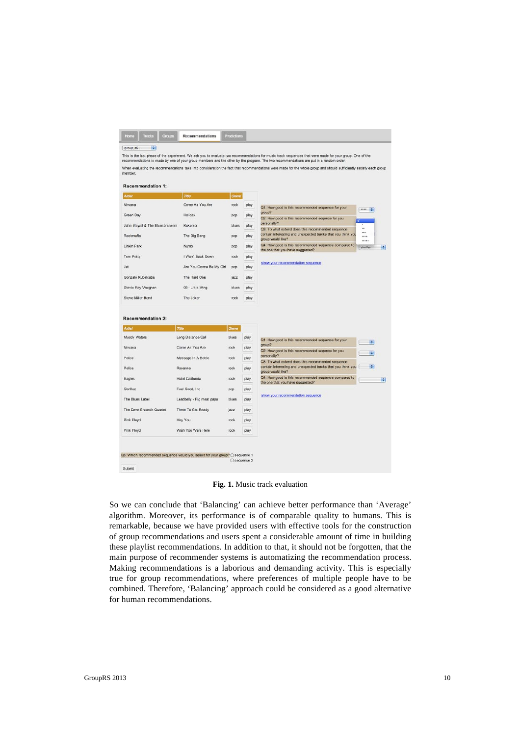|                                                                                                                                                                                           |                           |        |      | recommendations is made by one of your group members and the other by the program. The two recommendations are put in a random order.<br>When evaluating the recommendations take into consideration the fact that recommendations were made for the whole group and should sufficiently satisfy each group |        |
|-------------------------------------------------------------------------------------------------------------------------------------------------------------------------------------------|---------------------------|--------|------|-------------------------------------------------------------------------------------------------------------------------------------------------------------------------------------------------------------------------------------------------------------------------------------------------------------|--------|
| member.                                                                                                                                                                                   |                           |        |      |                                                                                                                                                                                                                                                                                                             |        |
| <b>Recommendation 1:</b>                                                                                                                                                                  |                           |        |      |                                                                                                                                                                                                                                                                                                             |        |
| <b>Artist</b>                                                                                                                                                                             | Title                     | Genre  |      |                                                                                                                                                                                                                                                                                                             |        |
| Nirvana                                                                                                                                                                                   | Come As You Are           | rock   | play | Q1: How good is this recommended sequence for your                                                                                                                                                                                                                                                          | and 14 |
| Green Day                                                                                                                                                                                 | Holiday                   | pop    | play | group?<br>Q2: How good is this recommended segence for you                                                                                                                                                                                                                                                  |        |
| John Mayall & The Bluesbreakers                                                                                                                                                           | Kokomo                    | blues  | play | personally?<br><br>Q3: To what extend does this recommended sequence                                                                                                                                                                                                                                        |        |
| Rockmafia                                                                                                                                                                                 | The Big Bang              | pop    | play | <br>contain interesting and unexpected tracks that you think you<br><br>group would like?<br>                                                                                                                                                                                                               |        |
| Linkin Park                                                                                                                                                                               | Numb                      | pop    | play | Q4: How good is this recommended sequence compared to<br>similar<br>the one that you have suggested?                                                                                                                                                                                                        | m      |
| Tom Petty                                                                                                                                                                                 | I Won't Back Down         | rock   | play |                                                                                                                                                                                                                                                                                                             |        |
| .let                                                                                                                                                                                      | Are You Gonna Be My Girl  | pop    | play | show your recommendation sequence                                                                                                                                                                                                                                                                           |        |
| Gonzalo Rubalcaba                                                                                                                                                                         | The Hard One              | jazz   | play |                                                                                                                                                                                                                                                                                                             |        |
| Stevie Ray Vaughan                                                                                                                                                                        | 08 - Little Wing          | blues. | play |                                                                                                                                                                                                                                                                                                             |        |
|                                                                                                                                                                                           | The Joker                 | rock   |      |                                                                                                                                                                                                                                                                                                             |        |
|                                                                                                                                                                                           |                           |        | play |                                                                                                                                                                                                                                                                                                             |        |
|                                                                                                                                                                                           | Title                     | Genre  |      |                                                                                                                                                                                                                                                                                                             |        |
|                                                                                                                                                                                           | Long Distance Call        | blues  | play | Q1: How good is this recommended sequence for your                                                                                                                                                                                                                                                          | ie.    |
|                                                                                                                                                                                           | Come As You Are           | rock   | play | group?<br>Q2: How good is this recommended segence for you                                                                                                                                                                                                                                                  |        |
|                                                                                                                                                                                           | Message In A Bottle       | rock   | play | personally?<br>Q3: To what extend does this recommended sequence                                                                                                                                                                                                                                            | a.     |
|                                                                                                                                                                                           | Roxanne                   | rock   | play | contain interesting and unexpected tracks that you think you<br>group would like?                                                                                                                                                                                                                           | æ.     |
|                                                                                                                                                                                           | Hotel California          | rock   | play | Q4: How good is this recommended sequence compared to<br>the one that you have suggested?                                                                                                                                                                                                                   |        |
|                                                                                                                                                                                           | Feel Good, Inc.           | pop    | play |                                                                                                                                                                                                                                                                                                             |        |
|                                                                                                                                                                                           | Leadbelly - Pig meat papa | blues  | play | show your recommendation sequence                                                                                                                                                                                                                                                                           | 瞬      |
|                                                                                                                                                                                           | Three To Get Ready        | jazz   | play |                                                                                                                                                                                                                                                                                                             |        |
| Steve Miller Band<br>Recommendation 2:<br><b>Artist</b><br>Muddy Waters<br>Nirvana<br>Police<br>Police<br>Eagles<br>Gorillaz<br>The Blues Label<br>The Dave Brubeck Quartet<br>Pink Floyd | Hey You                   | rock   | play |                                                                                                                                                                                                                                                                                                             |        |

**Fig. 1.** Music track evaluation

So we can conclude that 'Balancing' can achieve better performance than 'Average' algorithm. Moreover, its performance is of comparable quality to humans. This is remarkable, because we have provided users with effective tools for the construction of group recommendations and users spent a considerable amount of time in building these playlist recommendations. In addition to that, it should not be forgotten, that the main purpose of recommender systems is automatizing the recommendation process. Making recommendations is a laborious and demanding activity. This is especially true for group recommendations, where preferences of multiple people have to be combined. Therefore, 'Balancing' approach could be considered as a good alternative for human recommendations.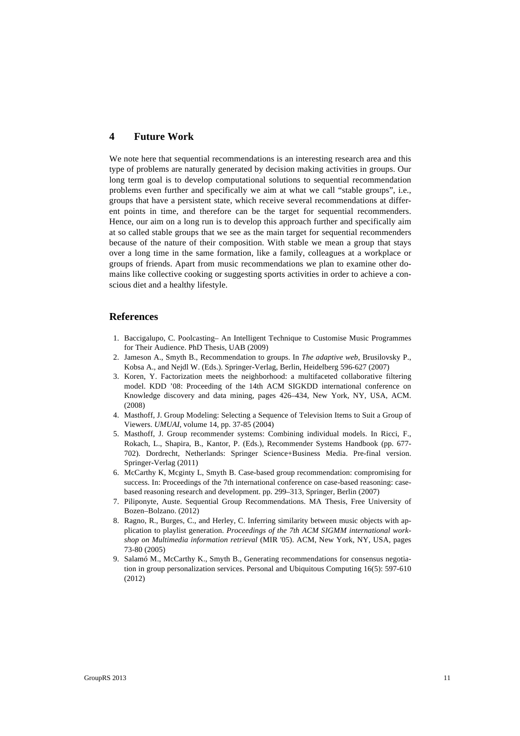### **4 Future Work**

We note here that sequential recommendations is an interesting research area and this type of problems are naturally generated by decision making activities in groups. Our long term goal is to develop computational solutions to sequential recommendation problems even further and specifically we aim at what we call "stable groups", i.e., groups that have a persistent state, which receive several recommendations at different points in time, and therefore can be the target for sequential recommenders. Hence, our aim on a long run is to develop this approach further and specifically aim at so called stable groups that we see as the main target for sequential recommenders because of the nature of their composition. With stable we mean a group that stays over a long time in the same formation, like a family, colleagues at a workplace or groups of friends. Apart from music recommendations we plan to examine other domains like collective cooking or suggesting sports activities in order to achieve a conscious diet and a healthy lifestyle.

#### **References**

- 1. Baccigalupo, C. Poolcasting– An Intelligent Technique to Customise Music Programmes for Their Audience. PhD Thesis, UAB (2009)
- 2. Jameson A., Smyth B., Recommendation to groups. In *The adaptive web*, Brusilovsky P., Kobsa A., and Nejdl W. (Eds.). Springer-Verlag, Berlin, Heidelberg 596-627 (2007)
- 3. Koren, Y. Factorization meets the neighborhood: a multifaceted collaborative filtering model. KDD '08: Proceeding of the 14th ACM SIGKDD international conference on Knowledge discovery and data mining, pages 426–434, New York, NY, USA, ACM. (2008)
- 4. Masthoff, J. Group Modeling: Selecting a Sequence of Television Items to Suit a Group of Viewers. *UMUAI,* volume 14, pp. 37-85 (2004)
- 5. Masthoff, J. Group recommender systems: Combining individual models. In Ricci, F., Rokach, L., Shapira, B., Kantor, P. (Eds.), Recommender Systems Handbook (pp. 677- 702). Dordrecht, Netherlands: Springer Science+Business Media. Pre-final version. Springer-Verlag (2011)
- 6. McCarthy K, Mcginty L, Smyth B. Case-based group recommendation: compromising for success. In: Proceedings of the 7th international conference on case-based reasoning: casebased reasoning research and development. pp. 299–313, Springer, Berlin (2007)
- 7. Piliponyte, Auste. Sequential Group Recommendations. MA Thesis, Free University of Bozen–Bolzano. (2012)
- 8. Ragno, R., Burges, C., and Herley, C. Inferring similarity between music objects with application to playlist generation. *Proceedings of the 7th ACM SIGMM international workshop on Multimedia information retrieval* (MIR '05). ACM, New York, NY, USA, pages 73-80 (2005)
- 9. Salamó M., McCarthy K., Smyth B., Generating recommendations for consensus negotiation in group personalization services. Personal and Ubiquitous Computing 16(5): 597-610 (2012)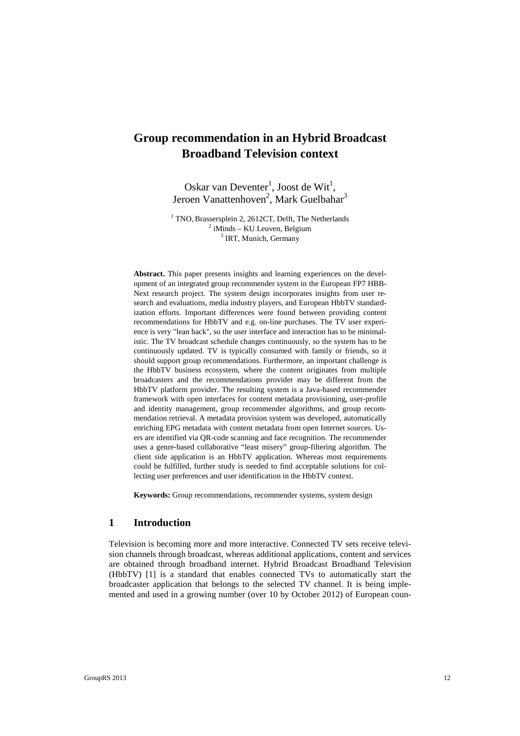# **Group recommendation in an Hybrid Broadcast Broadband Television context**

Oskar van Deventer<sup>1</sup>, Joost de Wit<sup>1</sup>, Jeroen Vanattenhoven<sup>2</sup>, Mark Guelbahar<sup>3</sup>

<sup>1</sup> TNO, Brassersplein 2, 2612CT, Delft, The Netherlands  $2$  iMinds – KU Leuven, Belgium <sup>3</sup> IRT, Munich, Germany

**Abstract.** This paper presents insights and learning experiences on the development of an integrated group recommender system in the European FP7 HBB-Next research project. The system design incorporates insights from user research and evaluations, media industry players, and European HbbTV standardization efforts. Important differences were found between providing content recommendations for HbbTV and e.g. on-line purchases. The TV user experience is very "lean back", so the user interface and interaction has to be minimalistic. The TV broadcast schedule changes continuously, so the system has to be continuously updated. TV is typically consumed with family or friends, so it should support group recommendations. Furthermore, an important challenge is the HbbTV business ecosystem, where the content originates from multiple broadcasters and the recommendations provider may be different from the HbbTV platform provider. The resulting system is a Java-based recommender framework with open interfaces for content metadata provisioning, user-profile and identity management, group recommender algorithms, and group recommendation retrieval. A metadata provision system was developed, automatically enriching EPG metadata with content metadata from open Internet sources. Users are identified via QR-code scanning and face recognition. The recommender uses a genre-based collaborative "least misery" group-filtering algorithm. The client side application is an HbbTV application. Whereas most requirements could be fulfilled, further study is needed to find acceptable solutions for collecting user preferences and user identification in the HbbTV context.

**Keywords:** Group recommendations, recommender systems, system design

### **1 Introduction**

Television is becoming more and more interactive. Connected TV sets receive television channels through broadcast, whereas additional applications, content and services are obtained through broadband internet. Hybrid Broadcast Broadband Television (HbbTV) [1] is a standard that enables connected TVs to automatically start the broadcaster application that belongs to the selected TV channel. It is being implemented and used in a growing number (over 10 by October 2012) of European coun-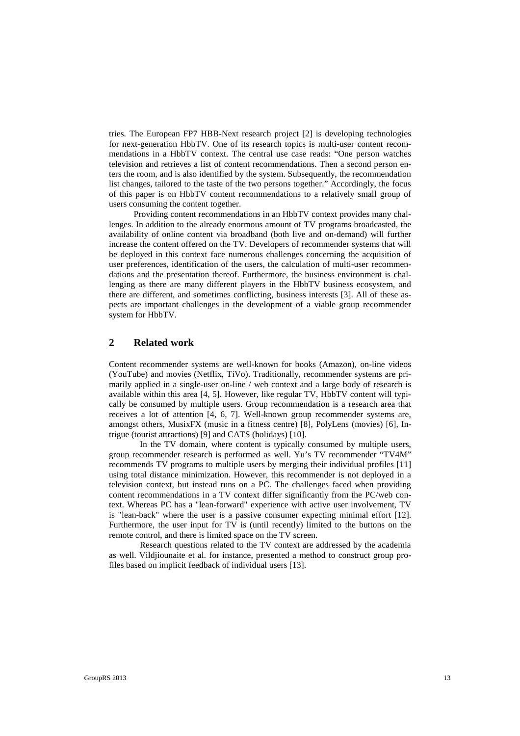tries. The European FP7 HBB-Next research project [2] is developing technologies for next-generation HbbTV. One of its research topics is multi-user content recommendations in a HbbTV context. The central use case reads: "One person watches television and retrieves a list of content recommendations. Then a second person enters the room, and is also identified by the system. Subsequently, the recommendation list changes, tailored to the taste of the two persons together." Accordingly, the focus of this paper is on HbbTV content recommendations to a relatively small group of users consuming the content together.

Providing content recommendations in an HbbTV context provides many challenges. In addition to the already enormous amount of TV programs broadcasted, the availability of online content via broadband (both live and on-demand) will further increase the content offered on the TV. Developers of recommender systems that will be deployed in this context face numerous challenges concerning the acquisition of user preferences, identification of the users, the calculation of multi-user recommendations and the presentation thereof. Furthermore, the business environment is challenging as there are many different players in the HbbTV business ecosystem, and there are different, and sometimes conflicting, business interests [3]. All of these aspects are important challenges in the development of a viable group recommender system for HbbTV.

# **2 Related work**

Content recommender systems are well-known for books (Amazon), on-line videos (YouTube) and movies (Netflix, TiVo). Traditionally, recommender systems are primarily applied in a single-user on-line / web context and a large body of research is available within this area [4, 5]. However, like regular TV, HbbTV content will typically be consumed by multiple users. Group recommendation is a research area that receives a lot of attention [4, 6, 7]. Well-known group recommender systems are, amongst others, MusixFX (music in a fitness centre) [8], PolyLens (movies) [6], Intrigue (tourist attractions) [9] and CATS (holidays) [10].

In the TV domain, where content is typically consumed by multiple users, group recommender research is performed as well. Yu's TV recommender "TV4M" recommends TV programs to multiple users by merging their individual profiles [11] using total distance minimization. However, this recommender is not deployed in a television context, but instead runs on a PC. The challenges faced when providing content recommendations in a TV context differ significantly from the PC/web context. Whereas PC has a "lean-forward" experience with active user involvement, TV is "lean-back" where the user is a passive consumer expecting minimal effort [12]. Furthermore, the user input for TV is (until recently) limited to the buttons on the remote control, and there is limited space on the TV screen.

Research questions related to the TV context are addressed by the academia as well. Vildjiounaite et al. for instance, presented a method to construct group profiles based on implicit feedback of individual users [13].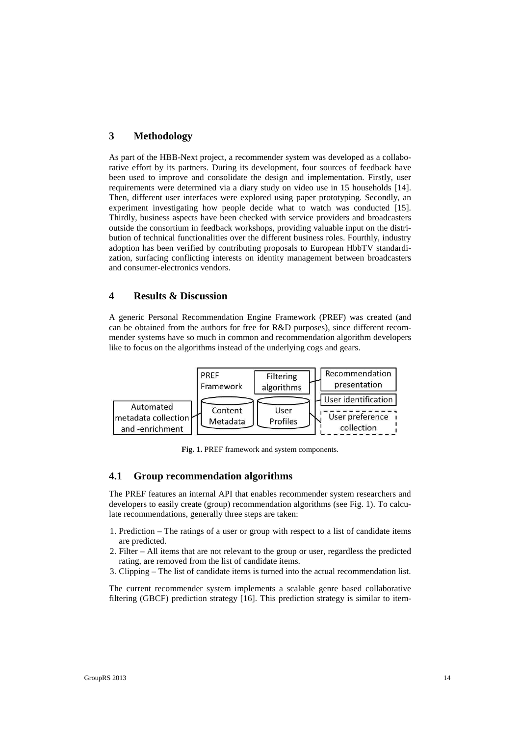# **3 Methodology**

As part of the HBB-Next project, a recommender system was developed as a collaborative effort by its partners. During its development, four sources of feedback have been used to improve and consolidate the design and implementation. Firstly, user requirements were determined via a diary study on video use in 15 households [14]. Then, different user interfaces were explored using paper prototyping. Secondly, an experiment investigating how people decide what to watch was conducted [15]. Thirdly, business aspects have been checked with service providers and broadcasters outside the consortium in feedback workshops, providing valuable input on the distribution of technical functionalities over the different business roles. Fourthly, industry adoption has been verified by contributing proposals to European HbbTV standardization, surfacing conflicting interests on identity management between broadcasters and consumer-electronics vendors.

# **4 Results & Discussion**

A generic Personal Recommendation Engine Framework (PREF) was created (and can be obtained from the authors for free for R&D purposes), since different recommender systems have so much in common and recommendation algorithm developers like to focus on the algorithms instead of the underlying cogs and gears.



**Fig. 1.** PREF framework and system components.

## **4.1 Group recommendation algorithms**

The PREF features an internal API that enables recommender system researchers and developers to easily create (group) recommendation algorithms (see Fig. 1). To calculate recommendations, generally three steps are taken:

- 1. Prediction The ratings of a user or group with respect to a list of candidate items are predicted.
- 2. Filter All items that are not relevant to the group or user, regardless the predicted rating, are removed from the list of candidate items.
- 3. Clipping The list of candidate items is turned into the actual recommendation list.

The current recommender system implements a scalable genre based collaborative filtering (GBCF) prediction strategy [16]. This prediction strategy is similar to item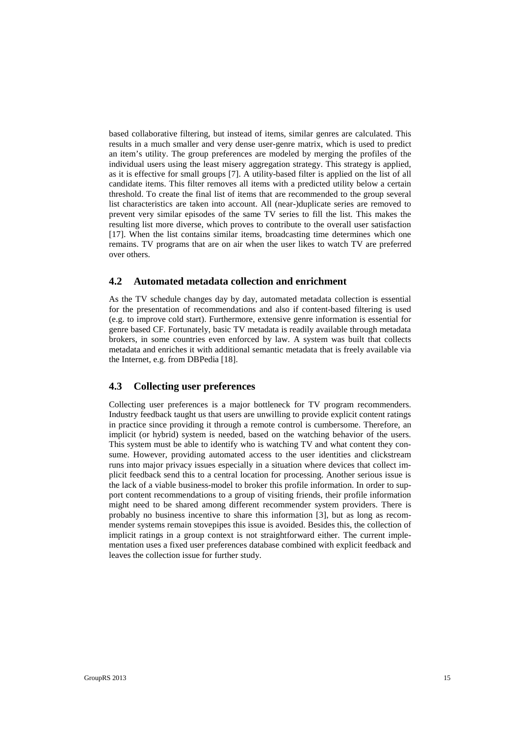based collaborative filtering, but instead of items, similar genres are calculated. This results in a much smaller and very dense user-genre matrix, which is used to predict an item's utility. The group preferences are modeled by merging the profiles of the individual users using the least misery aggregation strategy. This strategy is applied, as it is effective for small groups [7]. A utility-based filter is applied on the list of all candidate items. This filter removes all items with a predicted utility below a certain threshold. To create the final list of items that are recommended to the group several list characteristics are taken into account. All (near-)duplicate series are removed to prevent very similar episodes of the same TV series to fill the list. This makes the resulting list more diverse, which proves to contribute to the overall user satisfaction [17]. When the list contains similar items, broadcasting time determines which one remains. TV programs that are on air when the user likes to watch TV are preferred over others.

## **4.2 Automated metadata collection and enrichment**

As the TV schedule changes day by day, automated metadata collection is essential for the presentation of recommendations and also if content-based filtering is used (e.g. to improve cold start). Furthermore, extensive genre information is essential for genre based CF. Fortunately, basic TV metadata is readily available through metadata brokers, in some countries even enforced by law. A system was built that collects metadata and enriches it with additional semantic metadata that is freely available via the Internet, e.g. from DBPedia [18].

# **4.3 Collecting user preferences**

Collecting user preferences is a major bottleneck for TV program recommenders. Industry feedback taught us that users are unwilling to provide explicit content ratings in practice since providing it through a remote control is cumbersome. Therefore, an implicit (or hybrid) system is needed, based on the watching behavior of the users. This system must be able to identify who is watching TV and what content they consume. However, providing automated access to the user identities and clickstream runs into major privacy issues especially in a situation where devices that collect implicit feedback send this to a central location for processing. Another serious issue is the lack of a viable business-model to broker this profile information. In order to support content recommendations to a group of visiting friends, their profile information might need to be shared among different recommender system providers. There is probably no business incentive to share this information [3], but as long as recommender systems remain stovepipes this issue is avoided. Besides this, the collection of implicit ratings in a group context is not straightforward either. The current implementation uses a fixed user preferences database combined with explicit feedback and leaves the collection issue for further study.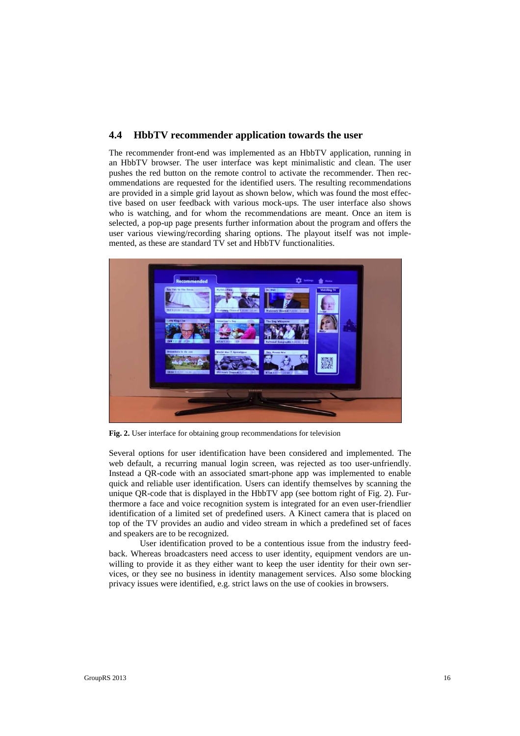## **4.4 HbbTV recommender application towards the user**

The recommender front-end was implemented as an HbbTV application, running in an HbbTV browser. The user interface was kept minimalistic and clean. The user pushes the red button on the remote control to activate the recommender. Then recommendations are requested for the identified users. The resulting recommendations are provided in a simple grid layout as shown below, which was found the most effective based on user feedback with various mock-ups. The user interface also shows who is watching, and for whom the recommendations are meant. Once an item is selected, a pop-up page presents further information about the program and offers the user various viewing/recording sharing options. The playout itself was not implemented, as these are standard TV set and HbbTV functionalities.



**Fig. 2.** User interface for obtaining group recommendations for television

Several options for user identification have been considered and implemented. The web default, a recurring manual login screen, was rejected as too user-unfriendly. Instead a QR-code with an associated smart-phone app was implemented to enable quick and reliable user identification. Users can identify themselves by scanning the unique OR-code that is displayed in the HbbTV app (see bottom right of Fig. 2). Furthermore a face and voice recognition system is integrated for an even user-friendlier identification of a limited set of predefined users. A Kinect camera that is placed on top of the TV provides an audio and video stream in which a predefined set of faces and speakers are to be recognized.

 User identification proved to be a contentious issue from the industry feedback. Whereas broadcasters need access to user identity, equipment vendors are unwilling to provide it as they either want to keep the user identity for their own services, or they see no business in identity management services. Also some blocking privacy issues were identified, e.g. strict laws on the use of cookies in browsers.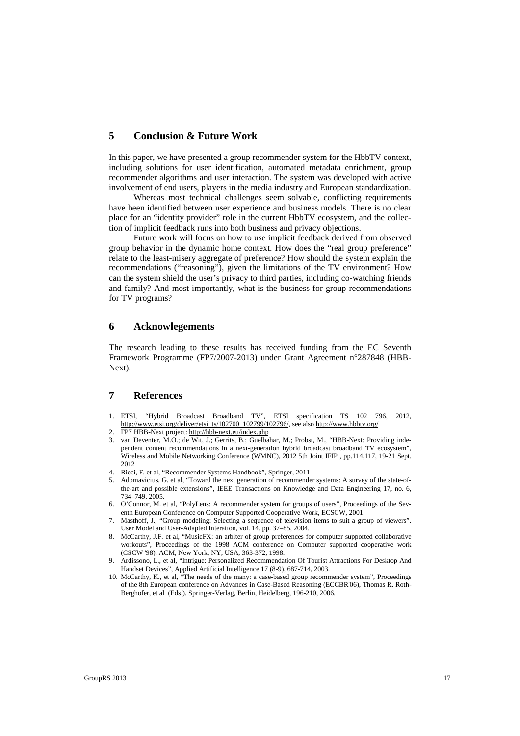# **5 Conclusion & Future Work**

In this paper, we have presented a group recommender system for the HbbTV context, including solutions for user identification, automated metadata enrichment, group recommender algorithms and user interaction. The system was developed with active involvement of end users, players in the media industry and European standardization.

Whereas most technical challenges seem solvable, conflicting requirements have been identified between user experience and business models. There is no clear place for an "identity provider" role in the current HbbTV ecosystem, and the collection of implicit feedback runs into both business and privacy objections.

Future work will focus on how to use implicit feedback derived from observed group behavior in the dynamic home context. How does the "real group preference" relate to the least-misery aggregate of preference? How should the system explain the recommendations ("reasoning"), given the limitations of the TV environment? How can the system shield the user's privacy to third parties, including co-watching friends and family? And most importantly, what is the business for group recommendations for TV programs?

#### **6 Acknowlegements**

The research leading to these results has received funding from the EC Seventh Framework Programme (FP7/2007-2013) under Grant Agreement n°287848 (HBB-Next).

## **7 References**

- 1. ETSI, "Hybrid Broadcast Broadband TV", ETSI specification TS 102 796, 2012, http://www.etsi.org/deliver/etsi\_ts/102700\_102799/102796/, see also http://www.hbbtv.org/
- 2. FP7 HBB-Next project: http://hbb-next.eu/index.php
- 3. van Deventer, M.O.; de Wit, J.; Gerrits, B.; Guelbahar, M.; Probst, M., "HBB-Next: Providing independent content recommendations in a next-generation hybrid broadcast broadband TV ecosystem", Wireless and Mobile Networking Conference (WMNC), 2012 5th Joint IFIP , pp.114,117, 19-21 Sept. 2012
- 4. Ricci, F. et al, "Recommender Systems Handbook", Springer, 2011
- 5. Adomavicius, G. et al, "Toward the next generation of recommender systems: A survey of the state-ofthe-art and possible extensions", IEEE Transactions on Knowledge and Data Engineering 17, no. 6, 734–749, 2005.
- 6. O'Connor, M. et al, "PolyLens: A recommender system for groups of users", Proceedings of the Seventh European Conference on Computer Supported Cooperative Work, ECSCW, 2001.
- 7. Masthoff, J., "Group modeling: Selecting a sequence of television items to suit a group of viewers". User Model and User-Adapted Interation, vol. 14, pp. 37–85, 2004.
- 8. McCarthy, J.F. et al, "MusicFX: an arbiter of group preferences for computer supported collaborative workouts", Proceedings of the 1998 ACM conference on Computer supported cooperative work (CSCW '98). ACM, New York, NY, USA, 363-372, 1998.
- 9. Ardissono, L., et al, "Intrigue: Personalized Recommendation Of Tourist Attractions For Desktop And Handset Devices", Applied Artificial Intelligence 17 (8-9), 687-714, 2003.
- 10. McCarthy, K., et al, "The needs of the many: a case-based group recommender system", Proceedings of the 8th European conference on Advances in Case-Based Reasoning (ECCBR'06), Thomas R. Roth-Berghofer, et al (Eds.). Springer-Verlag, Berlin, Heidelberg, 196-210, 2006.